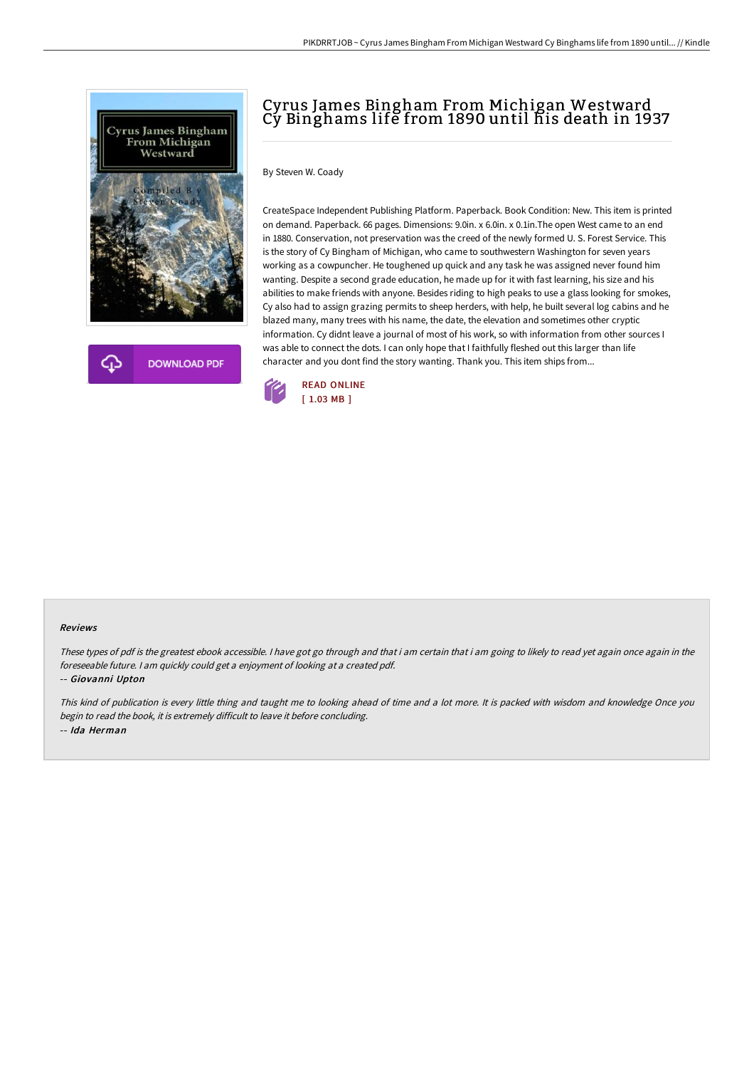

**DOWNLOAD PDF** 

# Cyrus James Bingham From Michigan Westward Cy Binghams life from 1890 until his death in 1937

By Steven W. Coady

CreateSpace Independent Publishing Platform. Paperback. Book Condition: New. This item is printed on demand. Paperback. 66 pages. Dimensions: 9.0in. x 6.0in. x 0.1in.The open West came to an end in 1880. Conservation, not preservation was the creed of the newly formed U. S. Forest Service. This is the story of Cy Bingham of Michigan, who came to southwestern Washington for seven years working as a cowpuncher. He toughened up quick and any task he was assigned never found him wanting. Despite a second grade education, he made up for it with fast learning, his size and his abilities to make friends with anyone. Besides riding to high peaks to use a glass looking for smokes, Cy also had to assign grazing permits to sheep herders, with help, he built several log cabins and he blazed many, many trees with his name, the date, the elevation and sometimes other cryptic information. Cy didnt leave a journal of most of his work, so with information from other sources I was able to connect the dots. I can only hope that I faithfully fleshed out this larger than life character and you dont find the story wanting. Thank you. This item ships from...



#### Reviews

These types of pdf is the greatest ebook accessible. <sup>I</sup> have got go through and that i am certain that i am going to likely to read yet again once again in the foreseeable future. <sup>I</sup> am quickly could get <sup>a</sup> enjoyment of looking at <sup>a</sup> created pdf.

-- Giovanni Upton

This kind of publication is every little thing and taught me to looking ahead of time and <sup>a</sup> lot more. It is packed with wisdom and knowledge Once you begin to read the book, it is extremely difficult to leave it before concluding. -- Ida Herman